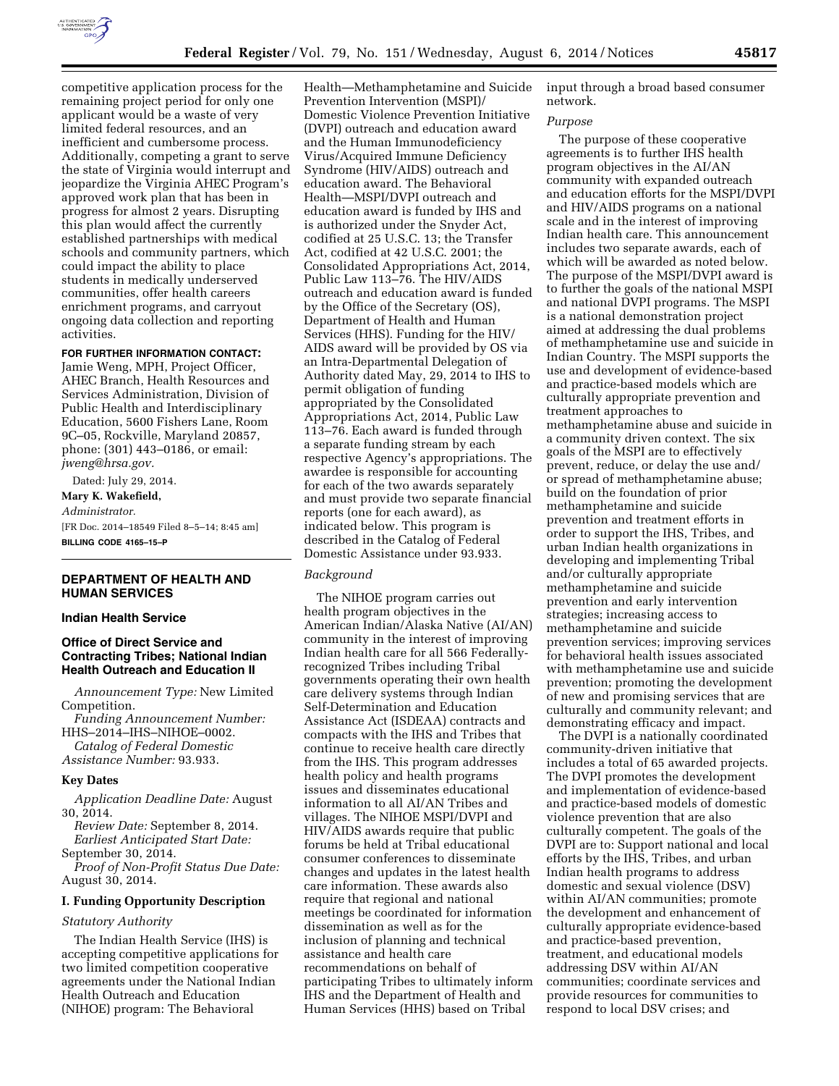

competitive application process for the remaining project period for only one applicant would be a waste of very limited federal resources, and an inefficient and cumbersome process. Additionally, competing a grant to serve the state of Virginia would interrupt and jeopardize the Virginia AHEC Program's approved work plan that has been in progress for almost 2 years. Disrupting this plan would affect the currently established partnerships with medical schools and community partners, which could impact the ability to place students in medically underserved communities, offer health careers enrichment programs, and carryout ongoing data collection and reporting activities.

# **FOR FURTHER INFORMATION CONTACT:**

Jamie Weng, MPH, Project Officer, AHEC Branch, Health Resources and Services Administration, Division of Public Health and Interdisciplinary Education, 5600 Fishers Lane, Room 9C–05, Rockville, Maryland 20857, phone: (301) 443–0186, or email: *[jweng@hrsa.gov.](mailto:jweng@hrsa.gov)* 

Dated: July 29, 2014. **Mary K. Wakefield,**  *Administrator.*  [FR Doc. 2014–18549 Filed 8–5–14; 8:45 am] **BILLING CODE 4165–15–P** 

# **DEPARTMENT OF HEALTH AND HUMAN SERVICES**

#### **Indian Health Service**

# **Office of Direct Service and Contracting Tribes; National Indian Health Outreach and Education II**

*Announcement Type:* New Limited Competition.

*Funding Announcement Number:*  HHS–2014–IHS–NIHOE–0002.

*Catalog of Federal Domestic* 

*Assistance Number:* 93.933.

# **Key Dates**

*Application Deadline Date:* August 30, 2014.

*Review Date:* September 8, 2014. *Earliest Anticipated Start Date:* 

September 30, 2014. *Proof of Non-Profit Status Due Date:*  August 30, 2014.

# **I. Funding Opportunity Description**

# *Statutory Authority*

The Indian Health Service (IHS) is accepting competitive applications for two limited competition cooperative agreements under the National Indian Health Outreach and Education (NIHOE) program: The Behavioral

Health—Methamphetamine and Suicide Prevention Intervention (MSPI)/ Domestic Violence Prevention Initiative (DVPI) outreach and education award and the Human Immunodeficiency Virus/Acquired Immune Deficiency Syndrome (HIV/AIDS) outreach and education award. The Behavioral Health—MSPI/DVPI outreach and education award is funded by IHS and is authorized under the Snyder Act, codified at 25 U.S.C. 13; the Transfer Act, codified at 42 U.S.C. 2001; the Consolidated Appropriations Act, 2014, Public Law 113–76. The HIV/AIDS outreach and education award is funded by the Office of the Secretary (OS), Department of Health and Human Services (HHS). Funding for the HIV/ AIDS award will be provided by OS via an Intra-Departmental Delegation of Authority dated May, 29, 2014 to IHS to permit obligation of funding appropriated by the Consolidated Appropriations Act, 2014, Public Law 113–76. Each award is funded through a separate funding stream by each respective Agency's appropriations. The awardee is responsible for accounting for each of the two awards separately and must provide two separate financial reports (one for each award), as indicated below. This program is described in the Catalog of Federal Domestic Assistance under 93.933.

#### *Background*

The NIHOE program carries out health program objectives in the American Indian/Alaska Native (AI/AN) community in the interest of improving Indian health care for all 566 Federallyrecognized Tribes including Tribal governments operating their own health care delivery systems through Indian Self-Determination and Education Assistance Act (ISDEAA) contracts and compacts with the IHS and Tribes that continue to receive health care directly from the IHS. This program addresses health policy and health programs issues and disseminates educational information to all AI/AN Tribes and villages. The NIHOE MSPI/DVPI and HIV/AIDS awards require that public forums be held at Tribal educational consumer conferences to disseminate changes and updates in the latest health care information. These awards also require that regional and national meetings be coordinated for information dissemination as well as for the inclusion of planning and technical assistance and health care recommendations on behalf of participating Tribes to ultimately inform IHS and the Department of Health and Human Services (HHS) based on Tribal

input through a broad based consumer network.

#### *Purpose*

The purpose of these cooperative agreements is to further IHS health program objectives in the AI/AN community with expanded outreach and education efforts for the MSPI/DVPI and HIV/AIDS programs on a national scale and in the interest of improving Indian health care. This announcement includes two separate awards, each of which will be awarded as noted below. The purpose of the MSPI/DVPI award is to further the goals of the national MSPI and national DVPI programs. The MSPI is a national demonstration project aimed at addressing the dual problems of methamphetamine use and suicide in Indian Country. The MSPI supports the use and development of evidence-based and practice-based models which are culturally appropriate prevention and treatment approaches to methamphetamine abuse and suicide in a community driven context. The six goals of the MSPI are to effectively prevent, reduce, or delay the use and/ or spread of methamphetamine abuse; build on the foundation of prior methamphetamine and suicide prevention and treatment efforts in order to support the IHS, Tribes, and urban Indian health organizations in developing and implementing Tribal and/or culturally appropriate methamphetamine and suicide prevention and early intervention strategies; increasing access to methamphetamine and suicide prevention services; improving services for behavioral health issues associated with methamphetamine use and suicide prevention; promoting the development of new and promising services that are culturally and community relevant; and demonstrating efficacy and impact.

The DVPI is a nationally coordinated community-driven initiative that includes a total of 65 awarded projects. The DVPI promotes the development and implementation of evidence-based and practice-based models of domestic violence prevention that are also culturally competent. The goals of the DVPI are to: Support national and local efforts by the IHS, Tribes, and urban Indian health programs to address domestic and sexual violence (DSV) within AI/AN communities; promote the development and enhancement of culturally appropriate evidence-based and practice-based prevention, treatment, and educational models addressing DSV within AI/AN communities; coordinate services and provide resources for communities to respond to local DSV crises; and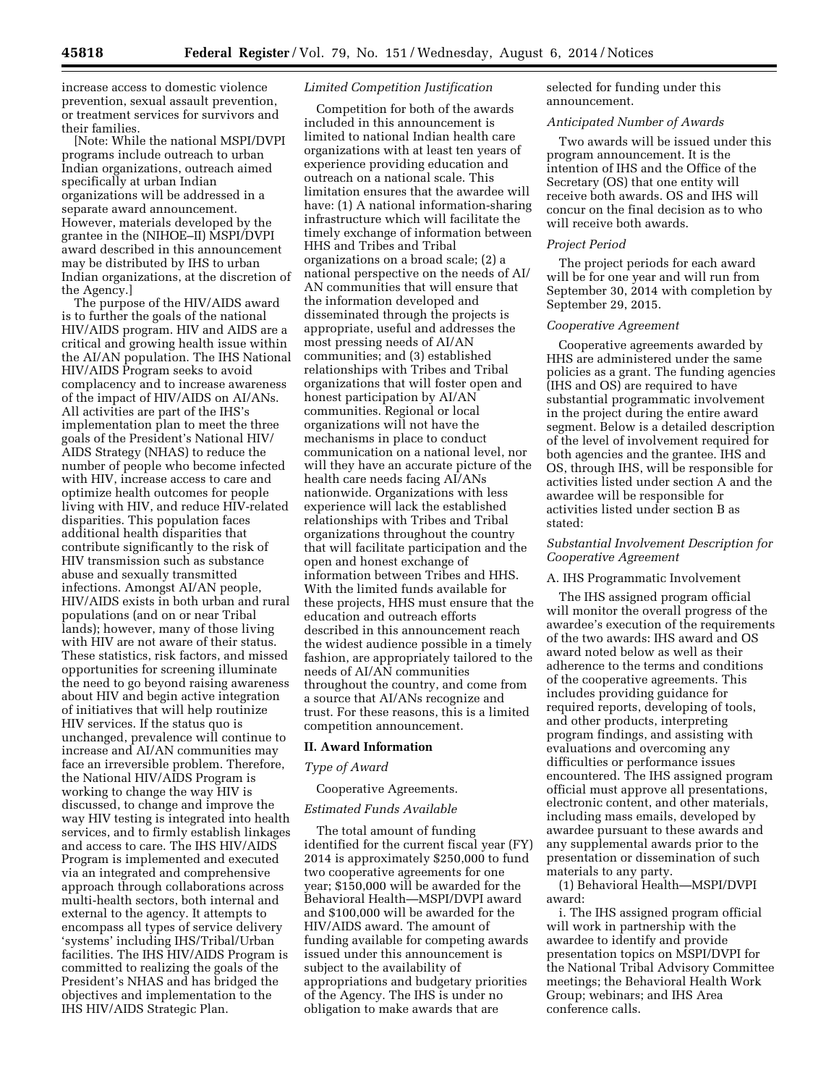increase access to domestic violence prevention, sexual assault prevention, or treatment services for survivors and their families.

[Note: While the national MSPI/DVPI programs include outreach to urban Indian organizations, outreach aimed specifically at urban Indian organizations will be addressed in a separate award announcement. However, materials developed by the grantee in the (NIHOE–II) MSPI/DVPI award described in this announcement may be distributed by IHS to urban Indian organizations, at the discretion of the Agency.]

The purpose of the HIV/AIDS award is to further the goals of the national HIV/AIDS program. HIV and AIDS are a critical and growing health issue within the AI/AN population. The IHS National HIV/AIDS Program seeks to avoid complacency and to increase awareness of the impact of HIV/AIDS on AI/ANs. All activities are part of the IHS's implementation plan to meet the three goals of the President's National HIV/ AIDS Strategy (NHAS) to reduce the number of people who become infected with HIV, increase access to care and optimize health outcomes for people living with HIV, and reduce HIV-related disparities. This population faces additional health disparities that contribute significantly to the risk of HIV transmission such as substance abuse and sexually transmitted infections. Amongst AI/AN people, HIV/AIDS exists in both urban and rural populations (and on or near Tribal lands); however, many of those living with HIV are not aware of their status. These statistics, risk factors, and missed opportunities for screening illuminate the need to go beyond raising awareness about HIV and begin active integration of initiatives that will help routinize HIV services. If the status quo is unchanged, prevalence will continue to increase and AI/AN communities may face an irreversible problem. Therefore, the National HIV/AIDS Program is working to change the way HIV is discussed, to change and improve the way HIV testing is integrated into health services, and to firmly establish linkages and access to care. The IHS HIV/AIDS Program is implemented and executed via an integrated and comprehensive approach through collaborations across multi-health sectors, both internal and external to the agency. It attempts to encompass all types of service delivery 'systems' including IHS/Tribal/Urban facilities. The IHS HIV/AIDS Program is committed to realizing the goals of the President's NHAS and has bridged the objectives and implementation to the IHS HIV/AIDS Strategic Plan.

# *Limited Competition Justification*

Competition for both of the awards included in this announcement is limited to national Indian health care organizations with at least ten years of experience providing education and outreach on a national scale. This limitation ensures that the awardee will have: (1) A national information-sharing infrastructure which will facilitate the timely exchange of information between HHS and Tribes and Tribal organizations on a broad scale; (2) a national perspective on the needs of AI/ AN communities that will ensure that the information developed and disseminated through the projects is appropriate, useful and addresses the most pressing needs of AI/AN communities; and (3) established relationships with Tribes and Tribal organizations that will foster open and honest participation by AI/AN communities. Regional or local organizations will not have the mechanisms in place to conduct communication on a national level, nor will they have an accurate picture of the health care needs facing AI/ANs nationwide. Organizations with less experience will lack the established relationships with Tribes and Tribal organizations throughout the country that will facilitate participation and the open and honest exchange of information between Tribes and HHS. With the limited funds available for these projects, HHS must ensure that the education and outreach efforts described in this announcement reach the widest audience possible in a timely fashion, are appropriately tailored to the needs of AI/AN communities throughout the country, and come from a source that AI/ANs recognize and trust. For these reasons, this is a limited competition announcement.

# **II. Award Information**

# *Type of Award*

# Cooperative Agreements.

# *Estimated Funds Available*

The total amount of funding identified for the current fiscal year (FY) 2014 is approximately \$250,000 to fund two cooperative agreements for one year; \$150,000 will be awarded for the Behavioral Health—MSPI/DVPI award and \$100,000 will be awarded for the HIV/AIDS award. The amount of funding available for competing awards issued under this announcement is subject to the availability of appropriations and budgetary priorities of the Agency. The IHS is under no obligation to make awards that are

selected for funding under this announcement.

### *Anticipated Number of Awards*

Two awards will be issued under this program announcement. It is the intention of IHS and the Office of the Secretary (OS) that one entity will receive both awards. OS and IHS will concur on the final decision as to who will receive both awards.

### *Project Period*

The project periods for each award will be for one year and will run from September 30, 2014 with completion by September 29, 2015.

# *Cooperative Agreement*

Cooperative agreements awarded by HHS are administered under the same policies as a grant. The funding agencies (IHS and OS) are required to have substantial programmatic involvement in the project during the entire award segment. Below is a detailed description of the level of involvement required for both agencies and the grantee. IHS and OS, through IHS, will be responsible for activities listed under section A and the awardee will be responsible for activities listed under section B as stated:

# *Substantial Involvement Description for Cooperative Agreement*

### A. IHS Programmatic Involvement

The IHS assigned program official will monitor the overall progress of the awardee's execution of the requirements of the two awards: IHS award and OS award noted below as well as their adherence to the terms and conditions of the cooperative agreements. This includes providing guidance for required reports, developing of tools, and other products, interpreting program findings, and assisting with evaluations and overcoming any difficulties or performance issues encountered. The IHS assigned program official must approve all presentations, electronic content, and other materials, including mass emails, developed by awardee pursuant to these awards and any supplemental awards prior to the presentation or dissemination of such materials to any party.

(1) Behavioral Health—MSPI/DVPI award:

i. The IHS assigned program official will work in partnership with the awardee to identify and provide presentation topics on MSPI/DVPI for the National Tribal Advisory Committee meetings; the Behavioral Health Work Group; webinars; and IHS Area conference calls.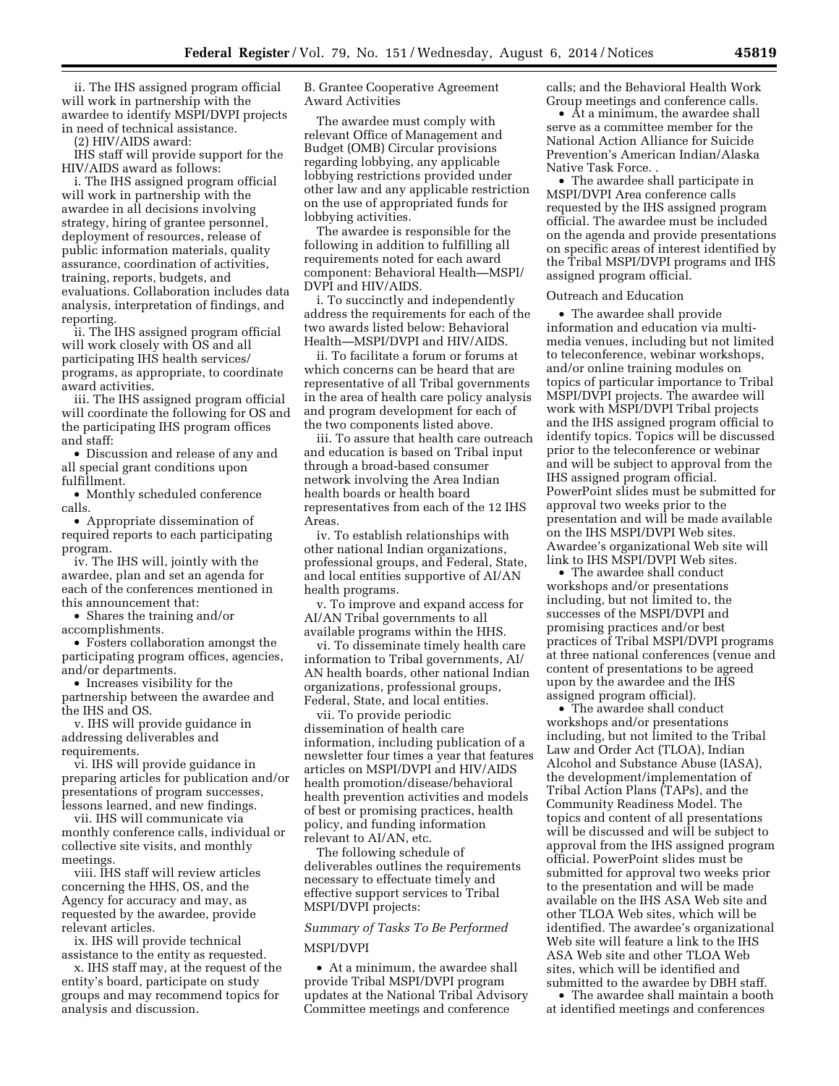ii. The IHS assigned program official will work in partnership with the awardee to identify MSPI/DVPI projects in need of technical assistance.

(2) HIV/AIDS award:

IHS staff will provide support for the HIV/AIDS award as follows:

i. The IHS assigned program official will work in partnership with the awardee in all decisions involving strategy, hiring of grantee personnel, deployment of resources, release of public information materials, quality assurance, coordination of activities, training, reports, budgets, and evaluations. Collaboration includes data analysis, interpretation of findings, and reporting.

ii. The IHS assigned program official will work closely with OS and all participating IHS health services/ programs, as appropriate, to coordinate award activities.

iii. The IHS assigned program official will coordinate the following for OS and the participating IHS program offices and staff:

• Discussion and release of any and all special grant conditions upon fulfillment.

• Monthly scheduled conference calls.

• Appropriate dissemination of required reports to each participating program.

iv. The IHS will, jointly with the awardee, plan and set an agenda for each of the conferences mentioned in this announcement that:

• Shares the training and/or

accomplishments.

• Fosters collaboration amongst the participating program offices, agencies, and/or departments.

• Increases visibility for the

partnership between the awardee and the IHS and OS.

v. IHS will provide guidance in addressing deliverables and requirements.

vi. IHS will provide guidance in preparing articles for publication and/or presentations of program successes, lessons learned, and new findings.

vii. IHS will communicate via monthly conference calls, individual or collective site visits, and monthly meetings.

viii. IHS staff will review articles concerning the HHS, OS, and the Agency for accuracy and may, as requested by the awardee, provide relevant articles.

ix. IHS will provide technical assistance to the entity as requested.

x. IHS staff may, at the request of the entity's board, participate on study groups and may recommend topics for analysis and discussion.

B. Grantee Cooperative Agreement Award Activities

The awardee must comply with relevant Office of Management and Budget (OMB) Circular provisions regarding lobbying, any applicable lobbying restrictions provided under other law and any applicable restriction on the use of appropriated funds for lobbying activities.

The awardee is responsible for the following in addition to fulfilling all requirements noted for each award component: Behavioral Health—MSPI/ DVPI and HIV/AIDS.

i. To succinctly and independently address the requirements for each of the two awards listed below: Behavioral Health—MSPI/DVPI and HIV/AIDS.

ii. To facilitate a forum or forums at which concerns can be heard that are representative of all Tribal governments in the area of health care policy analysis and program development for each of the two components listed above.

iii. To assure that health care outreach and education is based on Tribal input through a broad-based consumer network involving the Area Indian health boards or health board representatives from each of the 12 IHS Areas.

iv. To establish relationships with other national Indian organizations, professional groups, and Federal, State, and local entities supportive of AI/AN health programs.

v. To improve and expand access for AI/AN Tribal governments to all available programs within the HHS.

vi. To disseminate timely health care information to Tribal governments, AI/ AN health boards, other national Indian organizations, professional groups, Federal, State, and local entities.

vii. To provide periodic dissemination of health care information, including publication of a newsletter four times a year that features articles on MSPI/DVPI and HIV/AIDS health promotion/disease/behavioral health prevention activities and models of best or promising practices, health policy, and funding information relevant to AI/AN, etc.

The following schedule of deliverables outlines the requirements necessary to effectuate timely and effective support services to Tribal MSPI/DVPI projects:

# *Summary of Tasks To Be Performed*  MSPI/DVPI

• At a minimum, the awardee shall provide Tribal MSPI/DVPI program updates at the National Tribal Advisory Committee meetings and conference

calls; and the Behavioral Health Work Group meetings and conference calls.

• At a minimum, the awardee shall serve as a committee member for the National Action Alliance for Suicide Prevention's American Indian/Alaska Native Task Force. .

• The awardee shall participate in MSPI/DVPI Area conference calls requested by the IHS assigned program official. The awardee must be included on the agenda and provide presentations on specific areas of interest identified by the Tribal MSPI/DVPI programs and IHS assigned program official.

### Outreach and Education

• The awardee shall provide information and education via multimedia venues, including but not limited to teleconference, webinar workshops, and/or online training modules on topics of particular importance to Tribal MSPI/DVPI projects. The awardee will work with MSPI/DVPI Tribal projects and the IHS assigned program official to identify topics. Topics will be discussed prior to the teleconference or webinar and will be subject to approval from the IHS assigned program official. PowerPoint slides must be submitted for approval two weeks prior to the presentation and will be made available on the IHS MSPI/DVPI Web sites. Awardee's organizational Web site will link to IHS MSPI/DVPI Web sites.

• The awardee shall conduct workshops and/or presentations including, but not limited to, the successes of the MSPI/DVPI and promising practices and/or best practices of Tribal MSPI/DVPI programs at three national conferences (venue and content of presentations to be agreed upon by the awardee and the IHS assigned program official).

• The awardee shall conduct workshops and/or presentations including, but not limited to the Tribal Law and Order Act (TLOA), Indian Alcohol and Substance Abuse (IASA), the development/implementation of Tribal Action Plans (TAPs), and the Community Readiness Model. The topics and content of all presentations will be discussed and will be subject to approval from the IHS assigned program official. PowerPoint slides must be submitted for approval two weeks prior to the presentation and will be made available on the IHS ASA Web site and other TLOA Web sites, which will be identified. The awardee's organizational Web site will feature a link to the IHS ASA Web site and other TLOA Web sites, which will be identified and submitted to the awardee by DBH staff.

• The awardee shall maintain a booth at identified meetings and conferences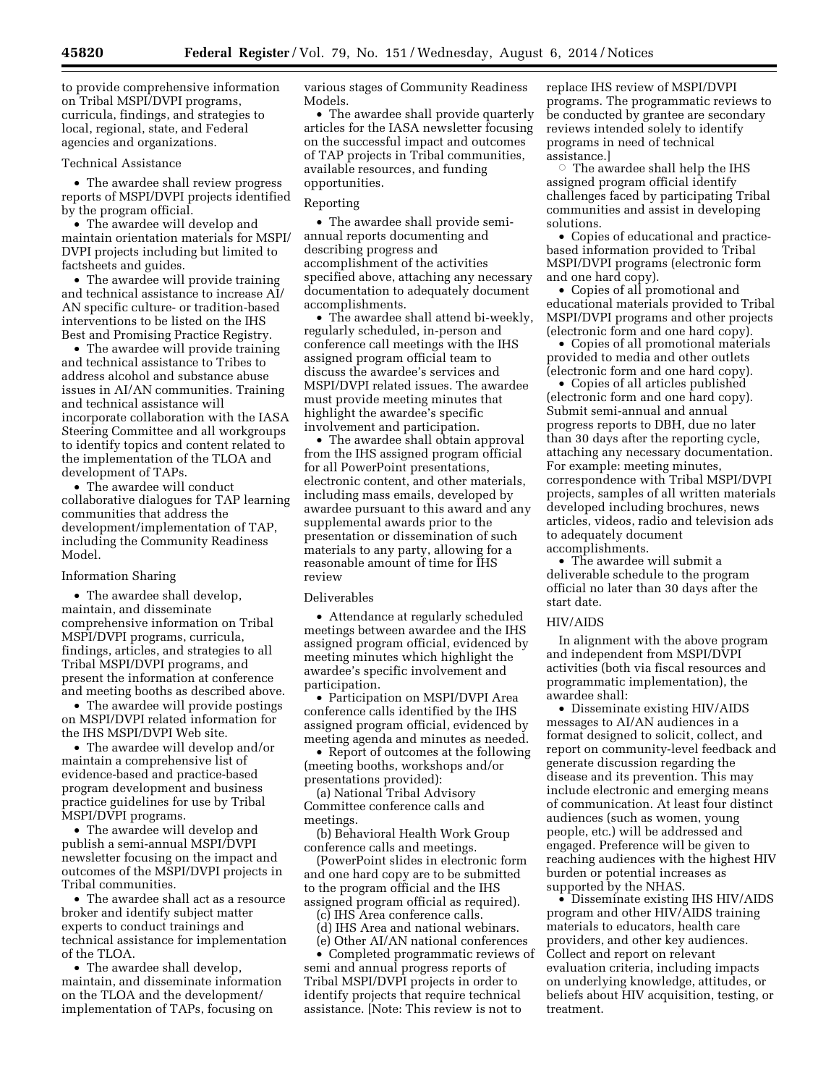to provide comprehensive information on Tribal MSPI/DVPI programs, curricula, findings, and strategies to local, regional, state, and Federal agencies and organizations.

### Technical Assistance

• The awardee shall review progress reports of MSPI/DVPI projects identified by the program official.

• The awardee will develop and maintain orientation materials for MSPI/ DVPI projects including but limited to factsheets and guides.

• The awardee will provide training and technical assistance to increase AI/ AN specific culture- or tradition-based interventions to be listed on the IHS Best and Promising Practice Registry.

• The awardee will provide training and technical assistance to Tribes to address alcohol and substance abuse issues in AI/AN communities. Training and technical assistance will incorporate collaboration with the IASA Steering Committee and all workgroups to identify topics and content related to the implementation of the TLOA and development of TAPs.

• The awardee will conduct collaborative dialogues for TAP learning communities that address the development/implementation of TAP, including the Community Readiness Model.

### Information Sharing

• The awardee shall develop, maintain, and disseminate comprehensive information on Tribal MSPI/DVPI programs, curricula, findings, articles, and strategies to all Tribal MSPI/DVPI programs, and present the information at conference and meeting booths as described above.

• The awardee will provide postings on MSPI/DVPI related information for the IHS MSPI/DVPI Web site.

• The awardee will develop and/or maintain a comprehensive list of evidence-based and practice-based program development and business practice guidelines for use by Tribal MSPI/DVPI programs.

• The awardee will develop and publish a semi-annual MSPI/DVPI newsletter focusing on the impact and outcomes of the MSPI/DVPI projects in Tribal communities.

• The awardee shall act as a resource broker and identify subject matter experts to conduct trainings and technical assistance for implementation of the TLOA.

• The awardee shall develop, maintain, and disseminate information on the TLOA and the development/ implementation of TAPs, focusing on

various stages of Community Readiness Models.

• The awardee shall provide quarterly articles for the IASA newsletter focusing on the successful impact and outcomes of TAP projects in Tribal communities, available resources, and funding opportunities.

# Reporting

• The awardee shall provide semiannual reports documenting and describing progress and accomplishment of the activities specified above, attaching any necessary documentation to adequately document accomplishments.

• The awardee shall attend bi-weekly, regularly scheduled, in-person and conference call meetings with the IHS assigned program official team to discuss the awardee's services and MSPI/DVPI related issues. The awardee must provide meeting minutes that highlight the awardee's specific involvement and participation.

• The awardee shall obtain approval from the IHS assigned program official for all PowerPoint presentations, electronic content, and other materials, including mass emails, developed by awardee pursuant to this award and any supplemental awards prior to the presentation or dissemination of such materials to any party, allowing for a reasonable amount of time for IHS review

### Deliverables

• Attendance at regularly scheduled meetings between awardee and the IHS assigned program official, evidenced by meeting minutes which highlight the awardee's specific involvement and participation.

• Participation on MSPI/DVPI Area conference calls identified by the IHS assigned program official, evidenced by meeting agenda and minutes as needed.

• Report of outcomes at the following (meeting booths, workshops and/or presentations provided):

(a) National Tribal Advisory Committee conference calls and meetings.

(b) Behavioral Health Work Group conference calls and meetings.

(PowerPoint slides in electronic form and one hard copy are to be submitted to the program official and the IHS assigned program official as required).

(c) IHS Area conference calls.

(d) IHS Area and national webinars. (e) Other AI/AN national conferences

• Completed programmatic reviews of semi and annual progress reports of Tribal MSPI/DVPI projects in order to identify projects that require technical assistance. [Note: This review is not to

replace IHS review of MSPI/DVPI programs. The programmatic reviews to be conducted by grantee are secondary reviews intended solely to identify programs in need of technical assistance.]

 $\circ$  The awardee shall help the IHS assigned program official identify challenges faced by participating Tribal communities and assist in developing solutions.

• Copies of educational and practicebased information provided to Tribal MSPI/DVPI programs (electronic form and one hard copy).

• Copies of all promotional and educational materials provided to Tribal MSPI/DVPI programs and other projects (electronic form and one hard copy).

• Copies of all promotional materials provided to media and other outlets (electronic form and one hard copy).

• Copies of all articles published (electronic form and one hard copy). Submit semi-annual and annual progress reports to DBH, due no later than 30 days after the reporting cycle, attaching any necessary documentation. For example: meeting minutes, correspondence with Tribal MSPI/DVPI projects, samples of all written materials developed including brochures, news articles, videos, radio and television ads to adequately document accomplishments.

• The awardee will submit a deliverable schedule to the program official no later than 30 days after the start date.

# HIV/AIDS

In alignment with the above program and independent from MSPI/DVPI activities (both via fiscal resources and programmatic implementation), the awardee shall:

• Disseminate existing HIV/AIDS messages to AI/AN audiences in a format designed to solicit, collect, and report on community-level feedback and generate discussion regarding the disease and its prevention. This may include electronic and emerging means of communication. At least four distinct audiences (such as women, young people, etc.) will be addressed and engaged. Preference will be given to reaching audiences with the highest HIV burden or potential increases as supported by the NHAS.

• Disseminate existing IHS HIV/AIDS program and other HIV/AIDS training materials to educators, health care providers, and other key audiences. Collect and report on relevant evaluation criteria, including impacts on underlying knowledge, attitudes, or beliefs about HIV acquisition, testing, or treatment.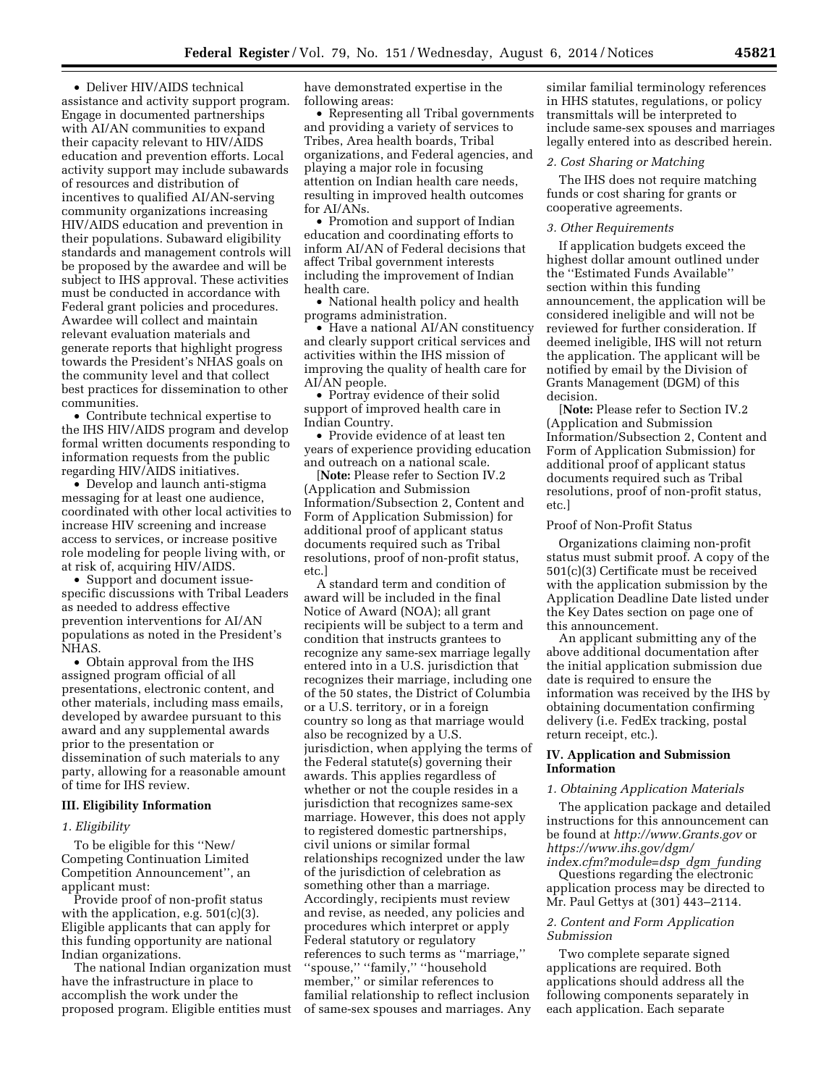• Deliver HIV/AIDS technical assistance and activity support program. Engage in documented partnerships with AI/AN communities to expand their capacity relevant to HIV/AIDS education and prevention efforts. Local activity support may include subawards of resources and distribution of incentives to qualified AI/AN-serving community organizations increasing HIV/AIDS education and prevention in their populations. Subaward eligibility standards and management controls will be proposed by the awardee and will be subject to IHS approval. These activities must be conducted in accordance with Federal grant policies and procedures. Awardee will collect and maintain relevant evaluation materials and generate reports that highlight progress towards the President's NHAS goals on the community level and that collect best practices for dissemination to other communities.

• Contribute technical expertise to the IHS HIV/AIDS program and develop formal written documents responding to information requests from the public regarding HIV/AIDS initiatives.

• Develop and launch anti-stigma messaging for at least one audience, coordinated with other local activities to increase HIV screening and increase access to services, or increase positive role modeling for people living with, or at risk of, acquiring HIV/AIDS.

• Support and document issuespecific discussions with Tribal Leaders as needed to address effective prevention interventions for AI/AN populations as noted in the President's NHAS.

• Obtain approval from the IHS assigned program official of all presentations, electronic content, and other materials, including mass emails, developed by awardee pursuant to this award and any supplemental awards prior to the presentation or dissemination of such materials to any party, allowing for a reasonable amount of time for IHS review.

# **III. Eligibility Information**

#### *1. Eligibility*

To be eligible for this ''New/ Competing Continuation Limited Competition Announcement'', an applicant must:

Provide proof of non-profit status with the application, e.g. 501(c)(3). Eligible applicants that can apply for this funding opportunity are national Indian organizations.

The national Indian organization must have the infrastructure in place to accomplish the work under the proposed program. Eligible entities must have demonstrated expertise in the following areas:

• Representing all Tribal governments and providing a variety of services to Tribes, Area health boards, Tribal organizations, and Federal agencies, and playing a major role in focusing attention on Indian health care needs, resulting in improved health outcomes for AI/ANs.

• Promotion and support of Indian education and coordinating efforts to inform AI/AN of Federal decisions that affect Tribal government interests including the improvement of Indian health care.

• National health policy and health programs administration.

• Have a national AI/AN constituency and clearly support critical services and activities within the IHS mission of improving the quality of health care for AI/AN people.

• Portray evidence of their solid support of improved health care in Indian Country.

• Provide evidence of at least ten years of experience providing education and outreach on a national scale.

[**Note:** Please refer to Section IV.2 (Application and Submission Information/Subsection 2, Content and Form of Application Submission) for additional proof of applicant status documents required such as Tribal resolutions, proof of non-profit status, etc.]

A standard term and condition of award will be included in the final Notice of Award (NOA); all grant recipients will be subject to a term and condition that instructs grantees to recognize any same-sex marriage legally entered into in a U.S. jurisdiction that recognizes their marriage, including one of the 50 states, the District of Columbia or a U.S. territory, or in a foreign country so long as that marriage would also be recognized by a U.S. jurisdiction, when applying the terms of the Federal statute(s) governing their awards. This applies regardless of whether or not the couple resides in a jurisdiction that recognizes same-sex marriage. However, this does not apply to registered domestic partnerships, civil unions or similar formal relationships recognized under the law of the jurisdiction of celebration as something other than a marriage. Accordingly, recipients must review and revise, as needed, any policies and procedures which interpret or apply Federal statutory or regulatory references to such terms as ''marriage,'' ''spouse,'' ''family,'' ''household member," or similar references to familial relationship to reflect inclusion of same-sex spouses and marriages. Any

similar familial terminology references in HHS statutes, regulations, or policy transmittals will be interpreted to include same-sex spouses and marriages legally entered into as described herein.

#### *2. Cost Sharing or Matching*

The IHS does not require matching funds or cost sharing for grants or cooperative agreements.

# *3. Other Requirements*

If application budgets exceed the highest dollar amount outlined under the ''Estimated Funds Available'' section within this funding announcement, the application will be considered ineligible and will not be reviewed for further consideration. If deemed ineligible, IHS will not return the application. The applicant will be notified by email by the Division of Grants Management (DGM) of this decision.

[**Note:** Please refer to Section IV.2 (Application and Submission Information/Subsection 2, Content and Form of Application Submission) for additional proof of applicant status documents required such as Tribal resolutions, proof of non-profit status, etc.]

### Proof of Non-Profit Status

Organizations claiming non-profit status must submit proof. A copy of the 501(c)(3) Certificate must be received with the application submission by the Application Deadline Date listed under the Key Dates section on page one of this announcement.

An applicant submitting any of the above additional documentation after the initial application submission due date is required to ensure the information was received by the IHS by obtaining documentation confirming delivery (i.e. FedEx tracking, postal return receipt, etc.).

# **IV. Application and Submission Information**

# *1. Obtaining Application Materials*

The application package and detailed instructions for this announcement can be found at *<http://www.Grants.gov>*or *[https://www.ihs.gov/dgm/](https://www.ihs.gov/dgm/index.cfm?module=dsp_dgm_funding) [index.cfm?module=dsp](https://www.ihs.gov/dgm/index.cfm?module=dsp_dgm_funding)*\_*dgm*\_*funding* 

Questions regarding the electronic application process may be directed to Mr. Paul Gettys at (301) 443–2114.

# *2. Content and Form Application Submission*

Two complete separate signed applications are required. Both applications should address all the following components separately in each application. Each separate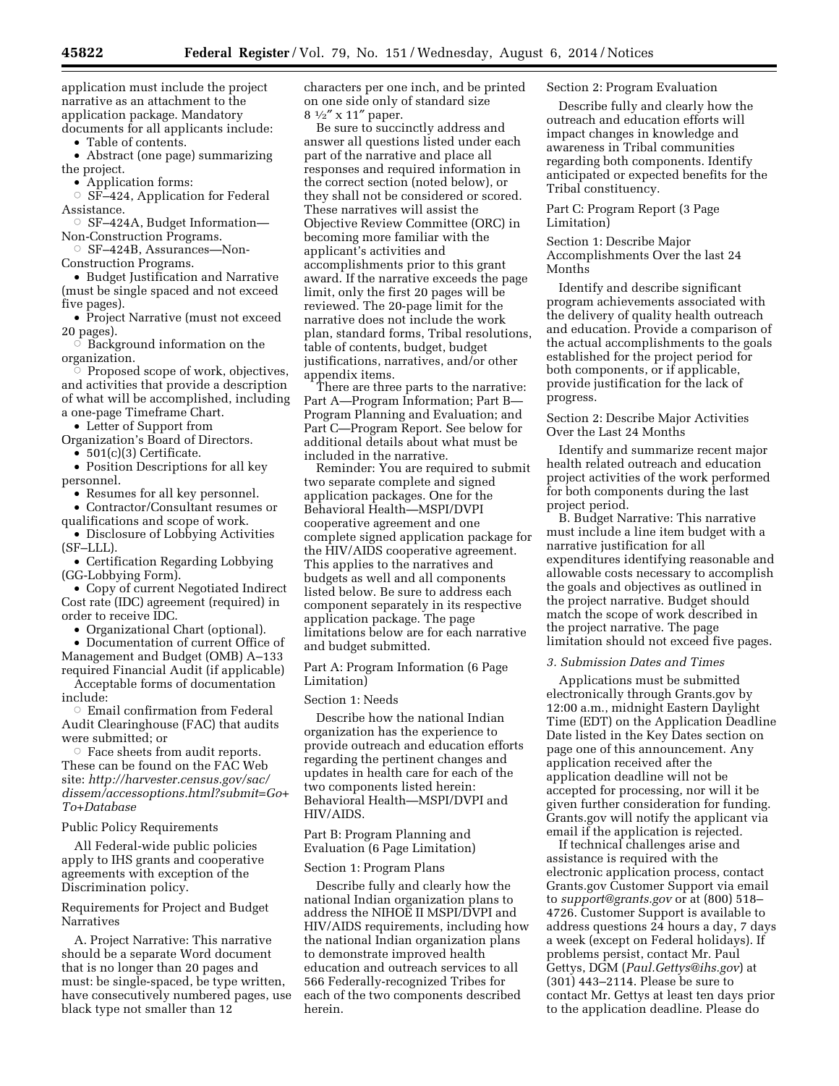application must include the project narrative as an attachment to the application package. Mandatory documents for all applicants include:

• Table of contents.

• Abstract (one page) summarizing the project.

• Application forms:

 $\circ$  SF-424, Application for Federal Assistance.

Æ SF–424A, Budget Information— Non-Construction Programs.

Æ SF–424B, Assurances—Non-

Construction Programs.

• Budget Justification and Narrative (must be single spaced and not exceed five pages).

• Project Narrative (must not exceed 20 pages).

 $\overline{\circ}$  Background information on the organization.

 $\degree$  Proposed scope of work, objectives, and activities that provide a description of what will be accomplished, including a one-page Timeframe Chart.

• Letter of Support from

Organization's Board of Directors.

• 501(c)(3) Certificate.

• Position Descriptions for all key personnel.

• Resumes for all key personnel.

• Contractor/Consultant resumes or

qualifications and scope of work. • Disclosure of Lobbying Activities

(SF–LLL). • Certification Regarding Lobbying (GG-Lobbying Form).

• Copy of current Negotiated Indirect Cost rate (IDC) agreement (required) in order to receive IDC.

• Organizational Chart (optional).

• Documentation of current Office of Management and Budget (OMB) A–133 required Financial Audit (if applicable)

Acceptable forms of documentation include:

 $\circ\,$  Email confirmation from Federal Audit Clearinghouse (FAC) that audits were submitted; or

 $\circ$  Face sheets from audit reports. These can be found on the FAC Web site: *[http://harvester.census.gov/sac/](http://harvester.census.gov/sac/dissem/accessoptions.html?submit=Go+To+Database) [dissem/accessoptions.html?submit=Go+](http://harvester.census.gov/sac/dissem/accessoptions.html?submit=Go+To+Database) [To+Database](http://harvester.census.gov/sac/dissem/accessoptions.html?submit=Go+To+Database)* 

Public Policy Requirements

All Federal-wide public policies apply to IHS grants and cooperative agreements with exception of the Discrimination policy.

Requirements for Project and Budget Narratives

A. Project Narrative: This narrative should be a separate Word document that is no longer than 20 pages and must: be single-spaced, be type written, have consecutively numbered pages, use black type not smaller than 12

characters per one inch, and be printed on one side only of standard size  $8 \frac{1}{2}$ " x 11" paper.

Be sure to succinctly address and answer all questions listed under each part of the narrative and place all responses and required information in the correct section (noted below), or they shall not be considered or scored. These narratives will assist the Objective Review Committee (ORC) in becoming more familiar with the applicant's activities and accomplishments prior to this grant award. If the narrative exceeds the page limit, only the first 20 pages will be reviewed. The 20-page limit for the narrative does not include the work plan, standard forms, Tribal resolutions, table of contents, budget, budget justifications, narratives, and/or other appendix items.

There are three parts to the narrative: Part A—Program Information; Part B— Program Planning and Evaluation; and Part C—Program Report. See below for additional details about what must be included in the narrative.

Reminder: You are required to submit two separate complete and signed application packages. One for the Behavioral Health—MSPI/DVPI cooperative agreement and one complete signed application package for the HIV/AIDS cooperative agreement. This applies to the narratives and budgets as well and all components listed below. Be sure to address each component separately in its respective application package. The page limitations below are for each narrative and budget submitted.

Part A: Program Information (6 Page Limitation)

Section 1: Needs

Describe how the national Indian organization has the experience to provide outreach and education efforts regarding the pertinent changes and updates in health care for each of the two components listed herein: Behavioral Health—MSPI/DVPI and HIV/AIDS.

# Part B: Program Planning and Evaluation (6 Page Limitation)

### Section 1: Program Plans

Describe fully and clearly how the national Indian organization plans to address the NIHOE II MSPI/DVPI and HIV/AIDS requirements, including how the national Indian organization plans to demonstrate improved health education and outreach services to all 566 Federally-recognized Tribes for each of the two components described herein.

### Section 2: Program Evaluation

Describe fully and clearly how the outreach and education efforts will impact changes in knowledge and awareness in Tribal communities regarding both components. Identify anticipated or expected benefits for the Tribal constituency.

Part C: Program Report (3 Page Limitation)

Section 1: Describe Major Accomplishments Over the last 24 Months

Identify and describe significant program achievements associated with the delivery of quality health outreach and education. Provide a comparison of the actual accomplishments to the goals established for the project period for both components, or if applicable, provide justification for the lack of progress.

Section 2: Describe Major Activities Over the Last 24 Months

Identify and summarize recent major health related outreach and education project activities of the work performed for both components during the last project period.

B. Budget Narrative: This narrative must include a line item budget with a narrative justification for all expenditures identifying reasonable and allowable costs necessary to accomplish the goals and objectives as outlined in the project narrative. Budget should match the scope of work described in the project narrative. The page limitation should not exceed five pages.

### *3. Submission Dates and Times*

Applications must be submitted electronically through Grants.gov by 12:00 a.m., midnight Eastern Daylight Time (EDT) on the Application Deadline Date listed in the Key Dates section on page one of this announcement. Any application received after the application deadline will not be accepted for processing, nor will it be given further consideration for funding. Grants.gov will notify the applicant via email if the application is rejected.

If technical challenges arise and assistance is required with the electronic application process, contact Grants.gov Customer Support via email to *[support@grants.gov](mailto:support@grants.gov)* or at (800) 518– 4726. Customer Support is available to address questions 24 hours a day, 7 days a week (except on Federal holidays). If problems persist, contact Mr. Paul Gettys, DGM (*[Paul.Gettys@ihs.gov](mailto:Paul.Gettys@ihs.gov)*) at (301) 443–2114. Please be sure to contact Mr. Gettys at least ten days prior to the application deadline. Please do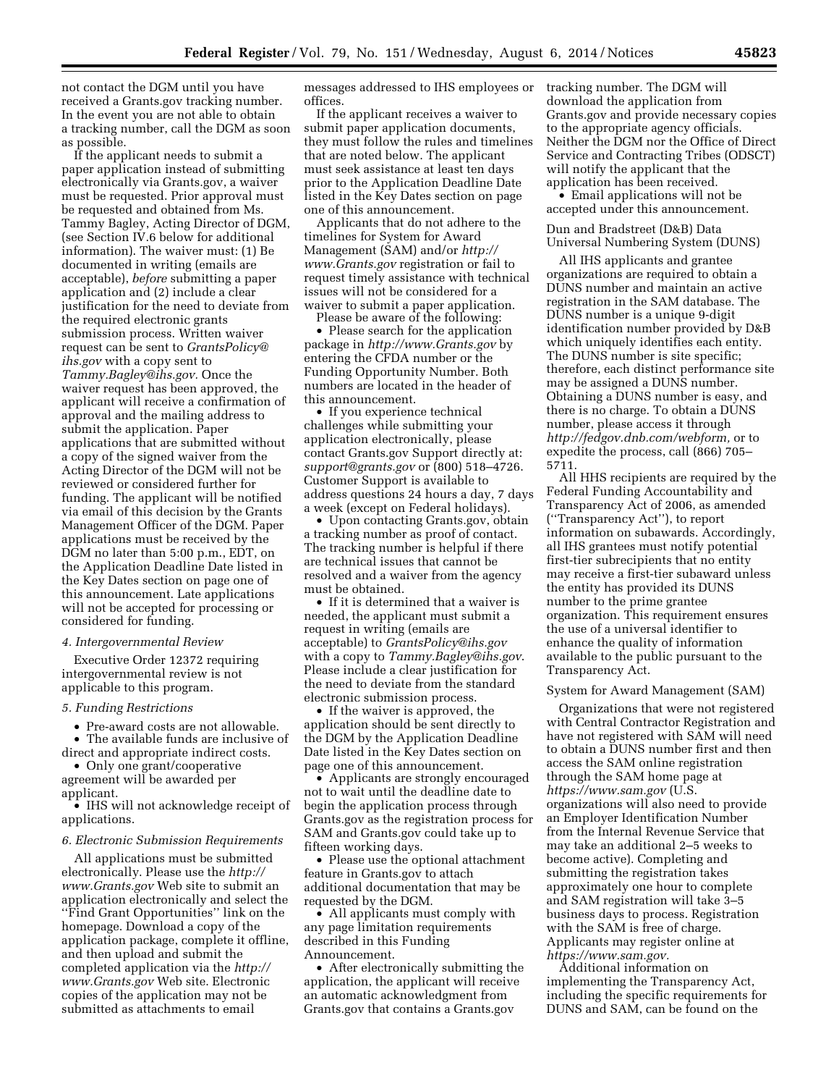not contact the DGM until you have received a Grants.gov tracking number. In the event you are not able to obtain a tracking number, call the DGM as soon as possible.

If the applicant needs to submit a paper application instead of submitting electronically via Grants.gov, a waiver must be requested. Prior approval must be requested and obtained from Ms. Tammy Bagley, Acting Director of DGM, (see Section IV.6 below for additional information). The waiver must: (1) Be documented in writing (emails are acceptable), *before* submitting a paper application and (2) include a clear justification for the need to deviate from the required electronic grants submission process. Written waiver request can be sent to *[GrantsPolicy@](mailto:GrantsPolicy@ihs.gov) [ihs.gov](mailto:GrantsPolicy@ihs.gov)* with a copy sent to *[Tammy.Bagley@ihs.gov.](mailto:Tammy.Bagley@ihs.gov)* Once the waiver request has been approved, the applicant will receive a confirmation of approval and the mailing address to submit the application. Paper applications that are submitted without a copy of the signed waiver from the Acting Director of the DGM will not be reviewed or considered further for funding. The applicant will be notified via email of this decision by the Grants Management Officer of the DGM. Paper applications must be received by the DGM no later than 5:00 p.m., EDT, on the Application Deadline Date listed in the Key Dates section on page one of this announcement. Late applications will not be accepted for processing or considered for funding.

#### *4. Intergovernmental Review*

Executive Order 12372 requiring intergovernmental review is not applicable to this program.

# *5. Funding Restrictions*

• Pre-award costs are not allowable.

• The available funds are inclusive of direct and appropriate indirect costs.

• Only one grant/cooperative agreement will be awarded per applicant.

• IHS will not acknowledge receipt of applications.

### *6. Electronic Submission Requirements*

All applications must be submitted electronically. Please use the *[http://](http://www.Grants.gov) [www.Grants.gov](http://www.Grants.gov)* Web site to submit an application electronically and select the ''Find Grant Opportunities'' link on the homepage. Download a copy of the application package, complete it offline, and then upload and submit the completed application via the *[http://](http://www.Grants.gov) [www.Grants.gov](http://www.Grants.gov)* Web site. Electronic copies of the application may not be submitted as attachments to email

messages addressed to IHS employees or offices.

If the applicant receives a waiver to submit paper application documents, they must follow the rules and timelines that are noted below. The applicant must seek assistance at least ten days prior to the Application Deadline Date listed in the Key Dates section on page one of this announcement.

Applicants that do not adhere to the timelines for System for Award Management (SAM) and/or *[http://](http://www.Grants.gov) [www.Grants.gov](http://www.Grants.gov)* registration or fail to request timely assistance with technical issues will not be considered for a waiver to submit a paper application.

Please be aware of the following:

• Please search for the application package in *<http://www.Grants.gov>* by entering the CFDA number or the Funding Opportunity Number. Both numbers are located in the header of this announcement.

• If you experience technical challenges while submitting your application electronically, please contact Grants.gov Support directly at: *[support@grants.gov](mailto:support@grants.gov)* or (800) 518–4726. Customer Support is available to address questions 24 hours a day, 7 days a week (except on Federal holidays).

• Upon contacting Grants.gov, obtain a tracking number as proof of contact. The tracking number is helpful if there are technical issues that cannot be resolved and a waiver from the agency must be obtained.

• If it is determined that a waiver is needed, the applicant must submit a request in writing (emails are acceptable) to *[GrantsPolicy@ihs.gov](mailto:GrantsPolicy@ihs.gov)*  with a copy to *[Tammy.Bagley@ihs.gov](mailto:Tammy.Bagley@ihs.gov)*. Please include a clear justification for the need to deviate from the standard electronic submission process.

• If the waiver is approved, the application should be sent directly to the DGM by the Application Deadline Date listed in the Key Dates section on page one of this announcement.

• Applicants are strongly encouraged not to wait until the deadline date to begin the application process through Grants.gov as the registration process for SAM and Grants.gov could take up to fifteen working days.

• Please use the optional attachment feature in Grants.gov to attach additional documentation that may be requested by the DGM.

• All applicants must comply with any page limitation requirements described in this Funding Announcement.

• After electronically submitting the application, the applicant will receive an automatic acknowledgment from Grants.gov that contains a Grants.gov

tracking number. The DGM will download the application from Grants.gov and provide necessary copies to the appropriate agency officials. Neither the DGM nor the Office of Direct Service and Contracting Tribes (ODSCT) will notify the applicant that the application has been received.

• Email applications will not be accepted under this announcement.

Dun and Bradstreet (D&B) Data Universal Numbering System (DUNS)

All IHS applicants and grantee organizations are required to obtain a DUNS number and maintain an active registration in the SAM database. The DUNS number is a unique 9-digit identification number provided by D&B which uniquely identifies each entity. The DUNS number is site specific; therefore, each distinct performance site may be assigned a DUNS number. Obtaining a DUNS number is easy, and there is no charge. To obtain a DUNS number, please access it through *[http://fedgov.dnb.com/webform,](http://fedgov.dnb.com/webform)* or to expedite the process, call (866) 705– 5711.

All HHS recipients are required by the Federal Funding Accountability and Transparency Act of 2006, as amended (''Transparency Act''), to report information on subawards. Accordingly, all IHS grantees must notify potential first-tier subrecipients that no entity may receive a first-tier subaward unless the entity has provided its DUNS number to the prime grantee organization. This requirement ensures the use of a universal identifier to enhance the quality of information available to the public pursuant to the Transparency Act.

### System for Award Management (SAM)

Organizations that were not registered with Central Contractor Registration and have not registered with SAM will need to obtain a DUNS number first and then access the SAM online registration through the SAM home page at *<https://www.sam.gov>* (U.S. organizations will also need to provide an Employer Identification Number from the Internal Revenue Service that may take an additional 2–5 weeks to become active). Completing and submitting the registration takes approximately one hour to complete and SAM registration will take 3–5 business days to process. Registration with the SAM is free of charge. Applicants may register online at *[https://www.sam.gov.](https://www.sam.gov)* 

Additional information on implementing the Transparency Act, including the specific requirements for DUNS and SAM, can be found on the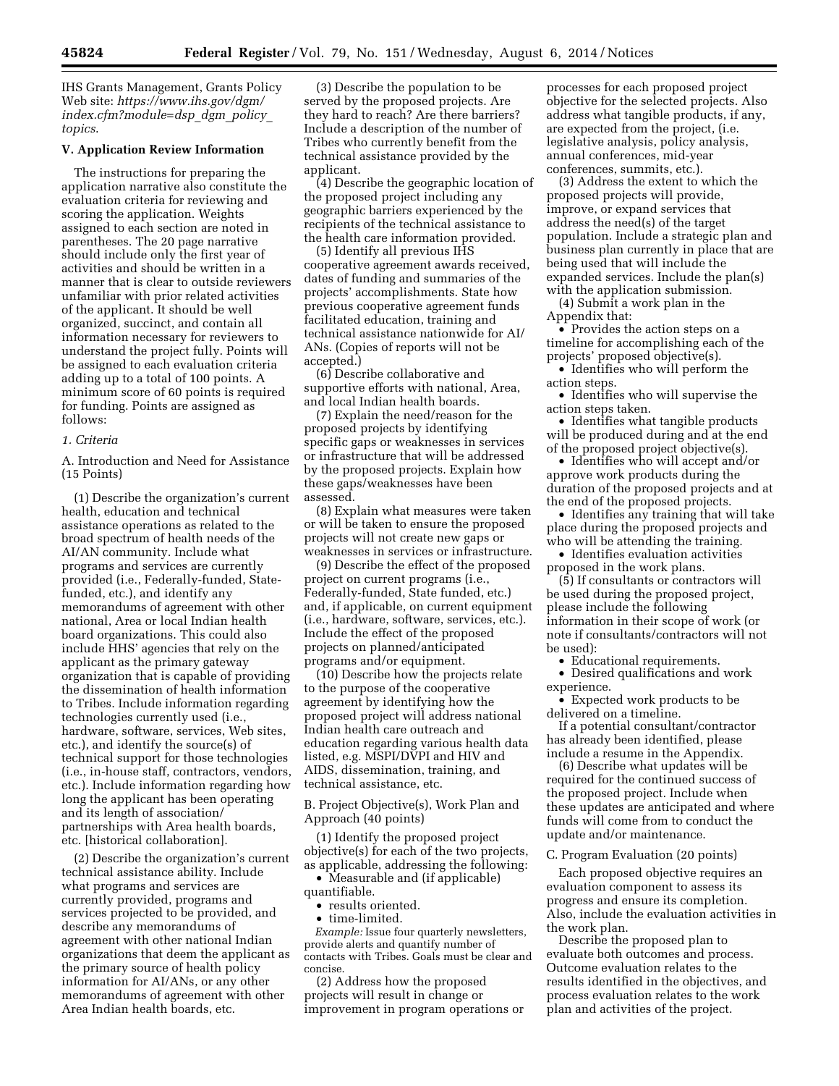IHS Grants Management, Grants Policy Web site: *[https://www.ihs.gov/dgm/](https://www.ihs.gov/dgm/index.cfm?module=dsp_dgm_policy_topics) [index.cfm?module=dsp](https://www.ihs.gov/dgm/index.cfm?module=dsp_dgm_policy_topics)*\_*dgm*\_*policy*\_ *[topics](https://www.ihs.gov/dgm/index.cfm?module=dsp_dgm_policy_topics)*.

# **V. Application Review Information**

The instructions for preparing the application narrative also constitute the evaluation criteria for reviewing and scoring the application. Weights assigned to each section are noted in parentheses. The 20 page narrative should include only the first year of activities and should be written in a manner that is clear to outside reviewers unfamiliar with prior related activities of the applicant. It should be well organized, succinct, and contain all information necessary for reviewers to understand the project fully. Points will be assigned to each evaluation criteria adding up to a total of 100 points. A minimum score of 60 points is required for funding. Points are assigned as follows:

### *1. Criteria*

A. Introduction and Need for Assistance (15 Points)

(1) Describe the organization's current health, education and technical assistance operations as related to the broad spectrum of health needs of the AI/AN community. Include what programs and services are currently provided (i.e., Federally-funded, Statefunded, etc.), and identify any memorandums of agreement with other national, Area or local Indian health board organizations. This could also include HHS' agencies that rely on the applicant as the primary gateway organization that is capable of providing the dissemination of health information to Tribes. Include information regarding technologies currently used (i.e., hardware, software, services, Web sites, etc.), and identify the source(s) of technical support for those technologies (i.e., in-house staff, contractors, vendors, etc.). Include information regarding how long the applicant has been operating and its length of association/ partnerships with Area health boards, etc. [historical collaboration].

(2) Describe the organization's current technical assistance ability. Include what programs and services are currently provided, programs and services projected to be provided, and describe any memorandums of agreement with other national Indian organizations that deem the applicant as the primary source of health policy information for AI/ANs, or any other memorandums of agreement with other Area Indian health boards, etc.

(3) Describe the population to be served by the proposed projects. Are they hard to reach? Are there barriers? Include a description of the number of Tribes who currently benefit from the technical assistance provided by the applicant.

(4) Describe the geographic location of the proposed project including any geographic barriers experienced by the recipients of the technical assistance to the health care information provided.

(5) Identify all previous IHS cooperative agreement awards received, dates of funding and summaries of the projects' accomplishments. State how previous cooperative agreement funds facilitated education, training and technical assistance nationwide for AI/ ANs. (Copies of reports will not be accepted.)

(6) Describe collaborative and supportive efforts with national, Area, and local Indian health boards.

(7) Explain the need/reason for the proposed projects by identifying specific gaps or weaknesses in services or infrastructure that will be addressed by the proposed projects. Explain how these gaps/weaknesses have been assessed.

(8) Explain what measures were taken or will be taken to ensure the proposed projects will not create new gaps or weaknesses in services or infrastructure.

(9) Describe the effect of the proposed project on current programs (i.e., Federally-funded, State funded, etc.) and, if applicable, on current equipment (i.e., hardware, software, services, etc.). Include the effect of the proposed projects on planned/anticipated programs and/or equipment.

(10) Describe how the projects relate to the purpose of the cooperative agreement by identifying how the proposed project will address national Indian health care outreach and education regarding various health data listed, e.g. MSPI/DVPI and HIV and AIDS, dissemination, training, and technical assistance, etc.

B. Project Objective(s), Work Plan and Approach (40 points)

(1) Identify the proposed project objective(s) for each of the two projects, as applicable, addressing the following:

• Measurable and (if applicable) quantifiable.

• results oriented.

• time-limited.

*Example:* Issue four quarterly newsletters, provide alerts and quantify number of contacts with Tribes. Goals must be clear and concise.

(2) Address how the proposed projects will result in change or improvement in program operations or

processes for each proposed project objective for the selected projects. Also address what tangible products, if any, are expected from the project, (i.e. legislative analysis, policy analysis, annual conferences, mid-year conferences, summits, etc.).

(3) Address the extent to which the proposed projects will provide, improve, or expand services that address the need(s) of the target population. Include a strategic plan and business plan currently in place that are being used that will include the expanded services. Include the plan(s) with the application submission.

(4) Submit a work plan in the Appendix that:

• Provides the action steps on a timeline for accomplishing each of the projects' proposed objective(s).

• Identifies who will perform the action steps.

• Identifies who will supervise the action steps taken.

• Identifies what tangible products will be produced during and at the end of the proposed project objective(s).

• Identifies who will accept and/or approve work products during the duration of the proposed projects and at the end of the proposed projects.

• Identifies any training that will take place during the proposed projects and who will be attending the training.

• Identifies evaluation activities proposed in the work plans.

(5) If consultants or contractors will be used during the proposed project, please include the following information in their scope of work (or note if consultants/contractors will not be used):

• Educational requirements.

• Desired qualifications and work experience.

• Expected work products to be delivered on a timeline.

If a potential consultant/contractor has already been identified, please include a resume in the Appendix.

(6) Describe what updates will be required for the continued success of the proposed project. Include when these updates are anticipated and where funds will come from to conduct the update and/or maintenance.

C. Program Evaluation (20 points)

Each proposed objective requires an evaluation component to assess its progress and ensure its completion. Also, include the evaluation activities in the work plan.

Describe the proposed plan to evaluate both outcomes and process. Outcome evaluation relates to the results identified in the objectives, and process evaluation relates to the work plan and activities of the project.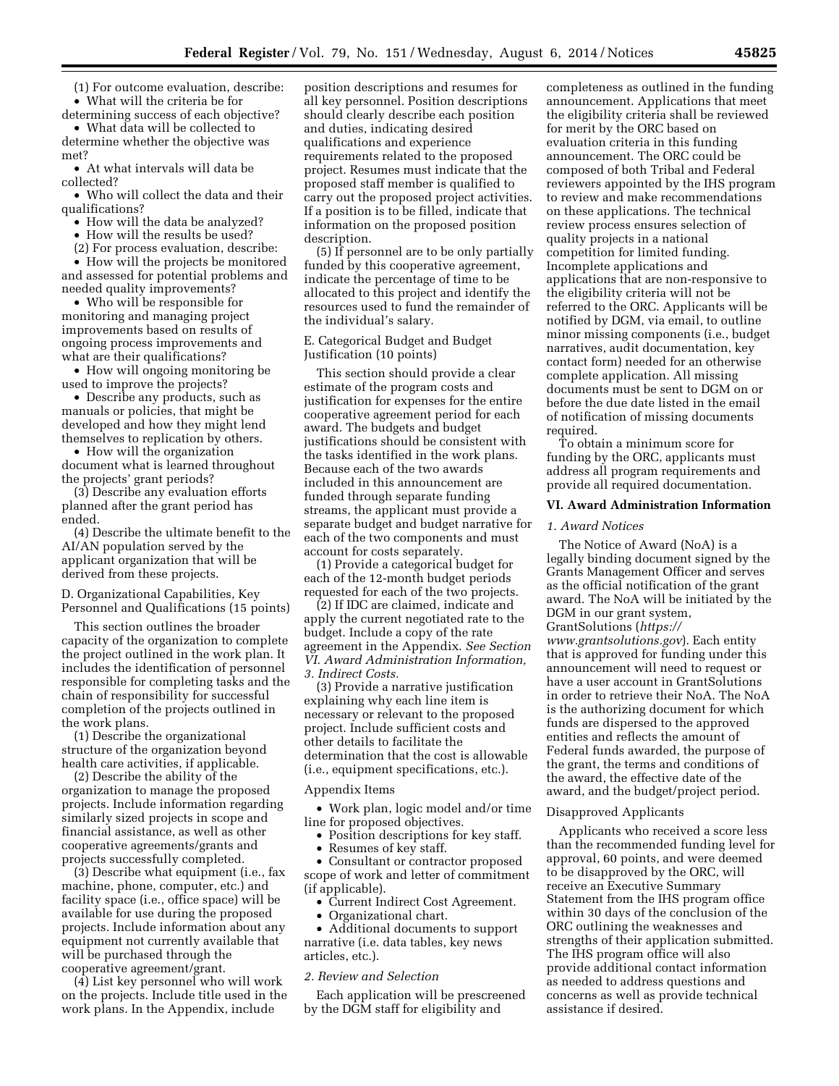(1) For outcome evaluation, describe: • What will the criteria be for determining success of each objective?

• What data will be collected to determine whether the objective was met?

• At what intervals will data be collected?

• Who will collect the data and their qualifications?

- How will the data be analyzed?
- How will the results be used?

(2) For process evaluation, describe: • How will the projects be monitored and assessed for potential problems and

needed quality improvements? • Who will be responsible for monitoring and managing project improvements based on results of

ongoing process improvements and what are their qualifications? • How will ongoing monitoring be

used to improve the projects?

• Describe any products, such as manuals or policies, that might be developed and how they might lend themselves to replication by others.

• How will the organization document what is learned throughout the projects' grant periods?

(3) Describe any evaluation efforts planned after the grant period has ended.

(4) Describe the ultimate benefit to the AI/AN population served by the applicant organization that will be derived from these projects.

D. Organizational Capabilities, Key Personnel and Qualifications (15 points)

This section outlines the broader capacity of the organization to complete the project outlined in the work plan. It includes the identification of personnel responsible for completing tasks and the chain of responsibility for successful completion of the projects outlined in the work plans.

(1) Describe the organizational structure of the organization beyond health care activities, if applicable.

(2) Describe the ability of the organization to manage the proposed projects. Include information regarding similarly sized projects in scope and financial assistance, as well as other cooperative agreements/grants and projects successfully completed.

(3) Describe what equipment (i.e., fax machine, phone, computer, etc.) and facility space (i.e., office space) will be available for use during the proposed projects. Include information about any equipment not currently available that will be purchased through the cooperative agreement/grant.

(4) List key personnel who will work on the projects. Include title used in the work plans. In the Appendix, include

position descriptions and resumes for all key personnel. Position descriptions should clearly describe each position and duties, indicating desired qualifications and experience requirements related to the proposed project. Resumes must indicate that the proposed staff member is qualified to carry out the proposed project activities. If a position is to be filled, indicate that information on the proposed position description.

(5) If personnel are to be only partially funded by this cooperative agreement, indicate the percentage of time to be allocated to this project and identify the resources used to fund the remainder of the individual's salary.

E. Categorical Budget and Budget Justification (10 points)

This section should provide a clear estimate of the program costs and justification for expenses for the entire cooperative agreement period for each award. The budgets and budget justifications should be consistent with the tasks identified in the work plans. Because each of the two awards included in this announcement are funded through separate funding streams, the applicant must provide a separate budget and budget narrative for each of the two components and must account for costs separately.

(1) Provide a categorical budget for each of the 12-month budget periods requested for each of the two projects.

(2) If IDC are claimed, indicate and apply the current negotiated rate to the budget. Include a copy of the rate agreement in the Appendix. *See Section VI. Award Administration Information, 3. Indirect Costs.* 

(3) Provide a narrative justification explaining why each line item is necessary or relevant to the proposed project. Include sufficient costs and other details to facilitate the determination that the cost is allowable (i.e., equipment specifications, etc.).

Appendix Items

• Work plan, logic model and/or time line for proposed objectives.

- Position descriptions for key staff.
- Resumes of key staff.

• Consultant or contractor proposed scope of work and letter of commitment (if applicable).

- Current Indirect Cost Agreement.
- Organizational chart.

• Additional documents to support narrative (i.e. data tables, key news articles, etc.).

# *2. Review and Selection*

Each application will be prescreened by the DGM staff for eligibility and

completeness as outlined in the funding announcement. Applications that meet the eligibility criteria shall be reviewed for merit by the ORC based on evaluation criteria in this funding announcement. The ORC could be composed of both Tribal and Federal reviewers appointed by the IHS program to review and make recommendations on these applications. The technical review process ensures selection of quality projects in a national competition for limited funding. Incomplete applications and applications that are non-responsive to the eligibility criteria will not be referred to the ORC. Applicants will be notified by DGM, via email, to outline minor missing components (i.e., budget narratives, audit documentation, key contact form) needed for an otherwise complete application. All missing documents must be sent to DGM on or before the due date listed in the email of notification of missing documents required.

To obtain a minimum score for funding by the ORC, applicants must address all program requirements and provide all required documentation.

# **VI. Award Administration Information**

# *1. Award Notices*

The Notice of Award (NoA) is a legally binding document signed by the Grants Management Officer and serves as the official notification of the grant award. The NoA will be initiated by the DGM in our grant system, GrantSolutions (*[https://](https://www.grantsolutions.gov) [www.grantsolutions.gov](https://www.grantsolutions.gov)*). Each entity that is approved for funding under this announcement will need to request or have a user account in GrantSolutions in order to retrieve their NoA. The NoA is the authorizing document for which funds are dispersed to the approved entities and reflects the amount of Federal funds awarded, the purpose of the grant, the terms and conditions of the award, the effective date of the award, and the budget/project period.

### Disapproved Applicants

Applicants who received a score less than the recommended funding level for approval, 60 points, and were deemed to be disapproved by the ORC, will receive an Executive Summary Statement from the IHS program office within 30 days of the conclusion of the ORC outlining the weaknesses and strengths of their application submitted. The IHS program office will also provide additional contact information as needed to address questions and concerns as well as provide technical assistance if desired.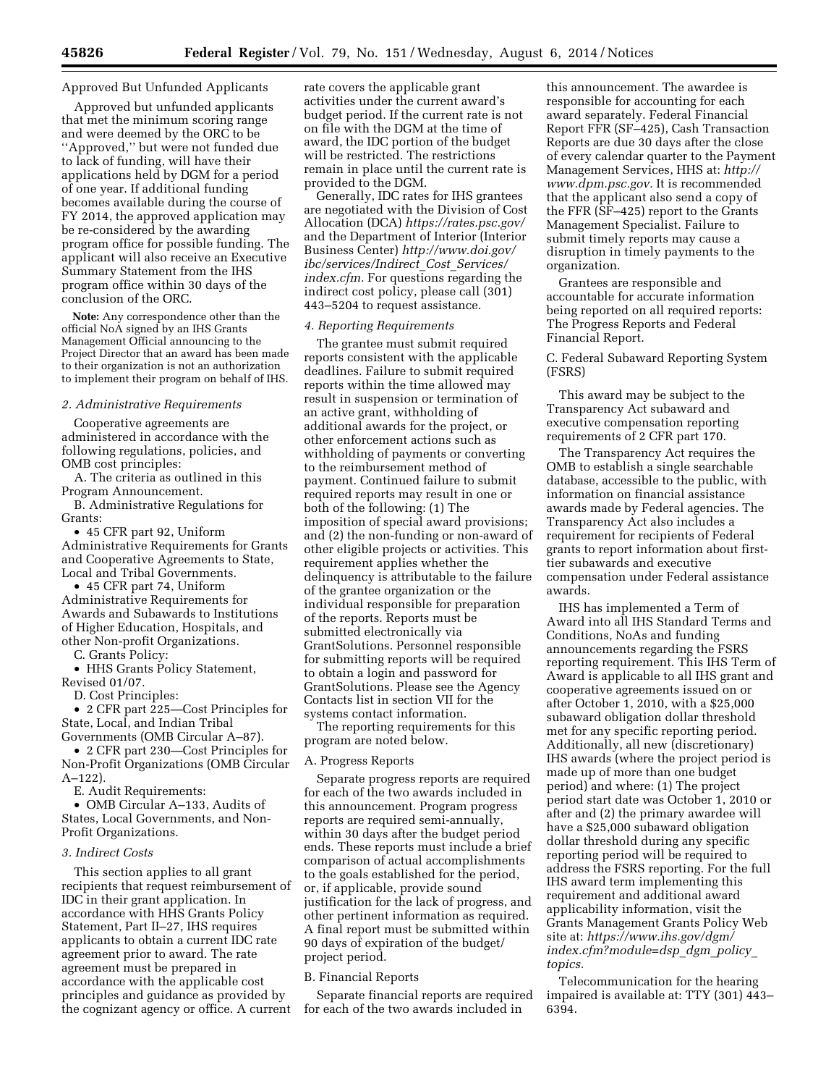# Approved But Unfunded Applicants

Approved but unfunded applicants that met the minimum scoring range and were deemed by the ORC to be ''Approved,'' but were not funded due to lack of funding, will have their applications held by DGM for a period of one year. If additional funding becomes available during the course of FY 2014, the approved application may be re-considered by the awarding program office for possible funding. The applicant will also receive an Executive Summary Statement from the IHS program office within 30 days of the conclusion of the ORC.

**Note:** Any correspondence other than the official NoA signed by an IHS Grants Management Official announcing to the Project Director that an award has been made to their organization is not an authorization to implement their program on behalf of IHS.

### *2. Administrative Requirements*

Cooperative agreements are administered in accordance with the following regulations, policies, and OMB cost principles:

A. The criteria as outlined in this Program Announcement.

B. Administrative Regulations for Grants:

• 45 CFR part 92, Uniform Administrative Requirements for Grants and Cooperative Agreements to State, Local and Tribal Governments.

• 45 CFR part 74, Uniform Administrative Requirements for Awards and Subawards to Institutions of Higher Education, Hospitals, and other Non-profit Organizations.

C. Grants Policy:

• HHS Grants Policy Statement, Revised 01/07.

D. Cost Principles:

• 2 CFR part 225—Cost Principles for State, Local, and Indian Tribal Governments (OMB Circular A–87).

• 2 CFR part 230—Cost Principles for Non-Profit Organizations (OMB Circular A–122).

E. Audit Requirements:

• OMB Circular A–133, Audits of States, Local Governments, and Non-Profit Organizations.

### *3. Indirect Costs*

This section applies to all grant recipients that request reimbursement of IDC in their grant application. In accordance with HHS Grants Policy Statement, Part II–27, IHS requires applicants to obtain a current IDC rate agreement prior to award. The rate agreement must be prepared in accordance with the applicable cost principles and guidance as provided by the cognizant agency or office. A current

rate covers the applicable grant activities under the current award's budget period. If the current rate is not on file with the DGM at the time of award, the IDC portion of the budget will be restricted. The restrictions remain in place until the current rate is provided to the DGM.

Generally, IDC rates for IHS grantees are negotiated with the Division of Cost Allocation (DCA) *<https://rates.psc.gov/>*  and the Department of Interior (Interior Business Center) *[http://www.doi.gov/](http://www.doi.gov/ibc/services/Indirect_Cost_Services/index.cfm) [ibc/services/Indirect](http://www.doi.gov/ibc/services/Indirect_Cost_Services/index.cfm)*\_*Cost*\_*Services/ [index.cfm.](http://www.doi.gov/ibc/services/Indirect_Cost_Services/index.cfm)* For questions regarding the indirect cost policy, please call (301) 443–5204 to request assistance.

#### *4. Reporting Requirements*

The grantee must submit required reports consistent with the applicable deadlines. Failure to submit required reports within the time allowed may result in suspension or termination of an active grant, withholding of additional awards for the project, or other enforcement actions such as withholding of payments or converting to the reimbursement method of payment. Continued failure to submit required reports may result in one or both of the following: (1) The imposition of special award provisions; and (2) the non-funding or non-award of other eligible projects or activities. This requirement applies whether the delinquency is attributable to the failure of the grantee organization or the individual responsible for preparation of the reports. Reports must be submitted electronically via GrantSolutions. Personnel responsible for submitting reports will be required to obtain a login and password for GrantSolutions. Please see the Agency Contacts list in section VII for the systems contact information. The reporting requirements for this

program are noted below.

#### A. Progress Reports

Separate progress reports are required for each of the two awards included in this announcement. Program progress reports are required semi-annually, within 30 days after the budget period ends. These reports must include a brief comparison of actual accomplishments to the goals established for the period, or, if applicable, provide sound justification for the lack of progress, and other pertinent information as required. A final report must be submitted within 90 days of expiration of the budget/ project period.

### B. Financial Reports

Separate financial reports are required for each of the two awards included in

this announcement. The awardee is responsible for accounting for each award separately. Federal Financial Report FFR (SF–425), Cash Transaction Reports are due 30 days after the close of every calendar quarter to the Payment Management Services, HHS at: *[http://](http://www.dpm.psc.gov) [www.dpm.psc.gov.](http://www.dpm.psc.gov)* It is recommended that the applicant also send a copy of the FFR (SF–425) report to the Grants Management Specialist. Failure to submit timely reports may cause a disruption in timely payments to the organization.

Grantees are responsible and accountable for accurate information being reported on all required reports: The Progress Reports and Federal Financial Report.

C. Federal Subaward Reporting System (FSRS)

This award may be subject to the Transparency Act subaward and executive compensation reporting requirements of 2 CFR part 170.

The Transparency Act requires the OMB to establish a single searchable database, accessible to the public, with information on financial assistance awards made by Federal agencies. The Transparency Act also includes a requirement for recipients of Federal grants to report information about firsttier subawards and executive compensation under Federal assistance awards.

IHS has implemented a Term of Award into all IHS Standard Terms and Conditions, NoAs and funding announcements regarding the FSRS reporting requirement. This IHS Term of Award is applicable to all IHS grant and cooperative agreements issued on or after October 1, 2010, with a \$25,000 subaward obligation dollar threshold met for any specific reporting period. Additionally, all new (discretionary) IHS awards (where the project period is made up of more than one budget period) and where: (1) The project period start date was October 1, 2010 or after and (2) the primary awardee will have a \$25,000 subaward obligation dollar threshold during any specific reporting period will be required to address the FSRS reporting. For the full IHS award term implementing this requirement and additional award applicability information, visit the Grants Management Grants Policy Web site at: *[https://www.ihs.gov/dgm/](https://www.ihs.gov/dgm/index.cfm?module=dsp_dgm_policy_topics) [index.cfm?module=dsp](https://www.ihs.gov/dgm/index.cfm?module=dsp_dgm_policy_topics)*\_*dgm*\_*policy*\_ *[topics.](https://www.ihs.gov/dgm/index.cfm?module=dsp_dgm_policy_topics)* 

Telecommunication for the hearing impaired is available at: TTY (301) 443– 6394.